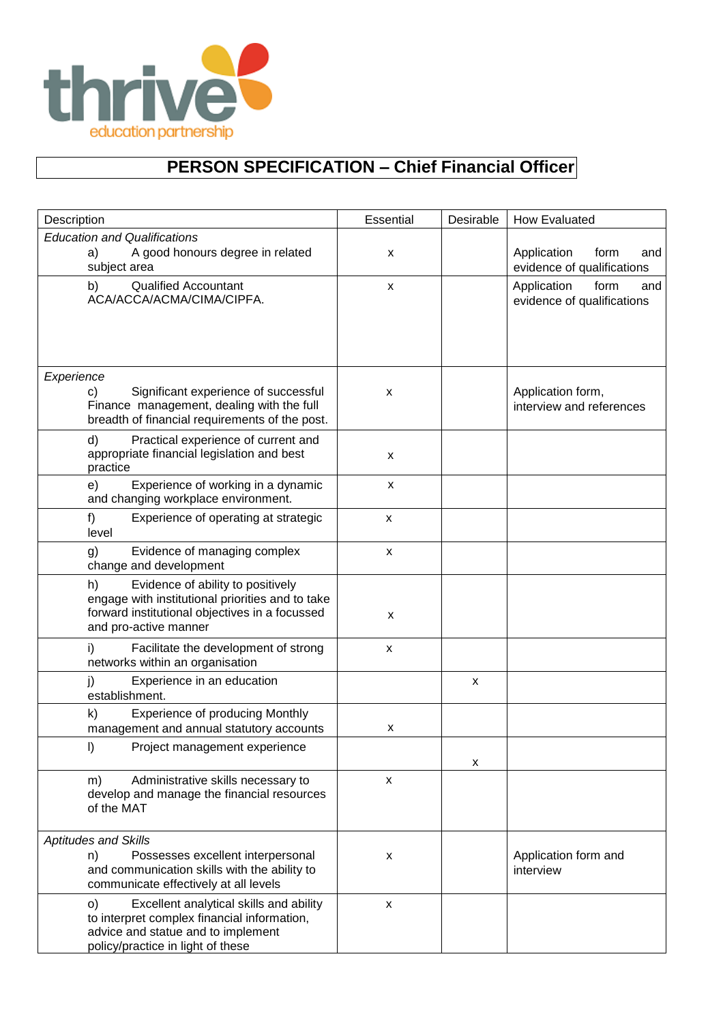

## **PERSON SPECIFICATION – Chief Financial Officer**

| Description                                                                                                                                                             | Essential          | Desirable | <b>How Evaluated</b>                                     |
|-------------------------------------------------------------------------------------------------------------------------------------------------------------------------|--------------------|-----------|----------------------------------------------------------|
| <b>Education and Qualifications</b><br>A good honours degree in related<br>a)                                                                                           | X                  |           | form<br>Application<br>and                               |
| subject area                                                                                                                                                            |                    |           | evidence of qualifications                               |
| <b>Qualified Accountant</b><br>b)<br>ACA/ACCA/ACMA/CIMA/CIPFA.                                                                                                          | X                  |           | Application<br>form<br>and<br>evidence of qualifications |
| Experience                                                                                                                                                              |                    |           |                                                          |
| Significant experience of successful<br>c)<br>Finance management, dealing with the full<br>breadth of financial requirements of the post.                               | x                  |           | Application form,<br>interview and references            |
| d)<br>Practical experience of current and<br>appropriate financial legislation and best<br>practice                                                                     | X                  |           |                                                          |
| Experience of working in a dynamic<br>e)<br>and changing workplace environment.                                                                                         | X                  |           |                                                          |
| f)<br>Experience of operating at strategic<br>level                                                                                                                     | $\pmb{\mathsf{x}}$ |           |                                                          |
| Evidence of managing complex<br>g)<br>change and development                                                                                                            | x                  |           |                                                          |
| Evidence of ability to positively<br>h)<br>engage with institutional priorities and to take<br>forward institutional objectives in a focussed<br>and pro-active manner  | X                  |           |                                                          |
| i)<br>Facilitate the development of strong<br>networks within an organisation                                                                                           | X                  |           |                                                          |
| Experience in an education<br>j)<br>establishment.                                                                                                                      |                    | X         |                                                          |
| k)<br><b>Experience of producing Monthly</b><br>management and annual statutory accounts                                                                                | х                  |           |                                                          |
| I)<br>Project management experience                                                                                                                                     |                    | х         |                                                          |
| Administrative skills necessary to<br>m)<br>develop and manage the financial resources<br>of the MAT                                                                    | X                  |           |                                                          |
| <b>Aptitudes and Skills</b>                                                                                                                                             |                    |           |                                                          |
| Possesses excellent interpersonal<br>n)<br>and communication skills with the ability to<br>communicate effectively at all levels                                        | x                  |           | Application form and<br>interview                        |
| O)<br>Excellent analytical skills and ability<br>to interpret complex financial information,<br>advice and statue and to implement<br>policy/practice in light of these | X                  |           |                                                          |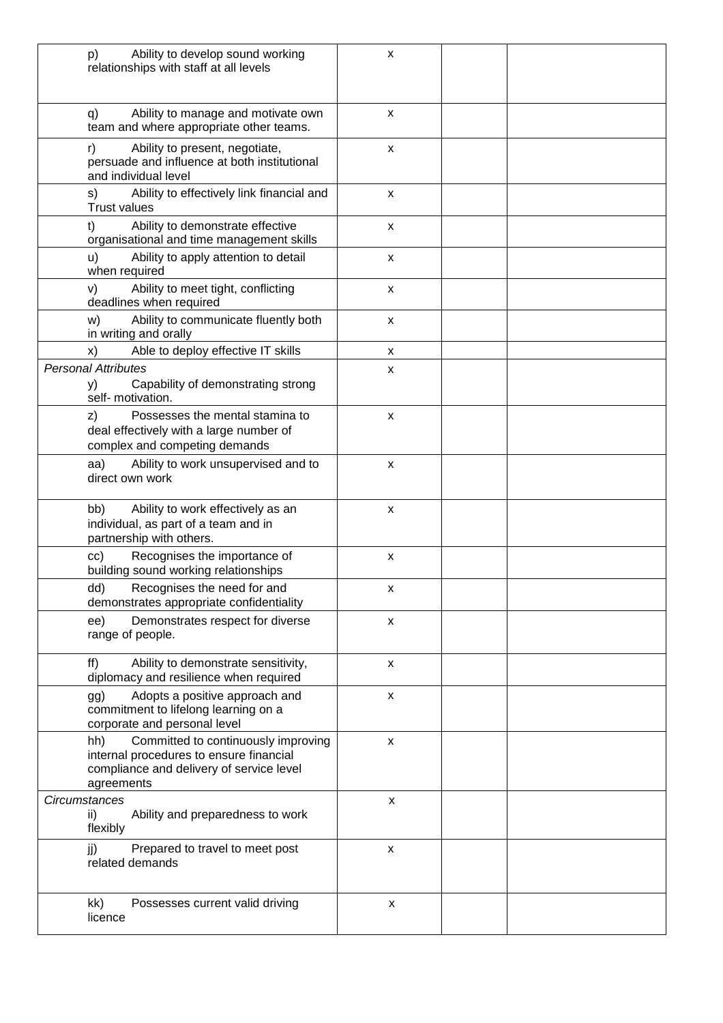| Ability to develop sound working<br>p)<br>relationships with staff at all levels                                                                | X                         |  |
|-------------------------------------------------------------------------------------------------------------------------------------------------|---------------------------|--|
| Ability to manage and motivate own<br>q)<br>team and where appropriate other teams.                                                             | $\pmb{\chi}$              |  |
| Ability to present, negotiate,<br>r)<br>persuade and influence at both institutional<br>and individual level                                    | X                         |  |
| Ability to effectively link financial and<br>s)<br><b>Trust values</b>                                                                          | $\boldsymbol{\mathsf{x}}$ |  |
| Ability to demonstrate effective<br>t)<br>organisational and time management skills                                                             | X                         |  |
| Ability to apply attention to detail<br>u)<br>when required                                                                                     | X                         |  |
| Ability to meet tight, conflicting<br>V)<br>deadlines when required                                                                             | $\pmb{\chi}$              |  |
| Ability to communicate fluently both<br>W)<br>in writing and orally                                                                             | $\pmb{\mathsf{x}}$        |  |
| Able to deploy effective IT skills<br>X)                                                                                                        | x                         |  |
| <b>Personal Attributes</b><br>Capability of demonstrating strong<br>y)<br>self- motivation.                                                     | X                         |  |
| Possesses the mental stamina to<br>z)<br>deal effectively with a large number of<br>complex and competing demands                               | $\pmb{\chi}$              |  |
| Ability to work unsupervised and to<br>aa)<br>direct own work                                                                                   | $\boldsymbol{\mathsf{x}}$ |  |
| Ability to work effectively as an<br>bb)<br>individual, as part of a team and in<br>partnership with others.                                    | $\pmb{\mathsf{x}}$        |  |
| Recognises the importance of<br>cc)<br>building sound working relationships                                                                     | х                         |  |
| Recognises the need for and<br>dd)<br>demonstrates appropriate confidentiality                                                                  |                           |  |
| Demonstrates respect for diverse<br>ee)<br>range of people.                                                                                     | $\pmb{\chi}$              |  |
| Ability to demonstrate sensitivity,<br>ff)<br>diplomacy and resilience when required                                                            | X                         |  |
| Adopts a positive approach and<br>gg)<br>commitment to lifelong learning on a<br>corporate and personal level                                   | X                         |  |
| Committed to continuously improving<br>hh)<br>internal procedures to ensure financial<br>compliance and delivery of service level<br>agreements | $\pmb{\times}$            |  |
| <b>Circumstances</b>                                                                                                                            | X                         |  |
| Ability and preparedness to work<br>ii)<br>flexibly                                                                                             |                           |  |
| Prepared to travel to meet post<br>jj)<br>related demands                                                                                       | X                         |  |
| kk)<br>Possesses current valid driving<br>licence                                                                                               | X                         |  |